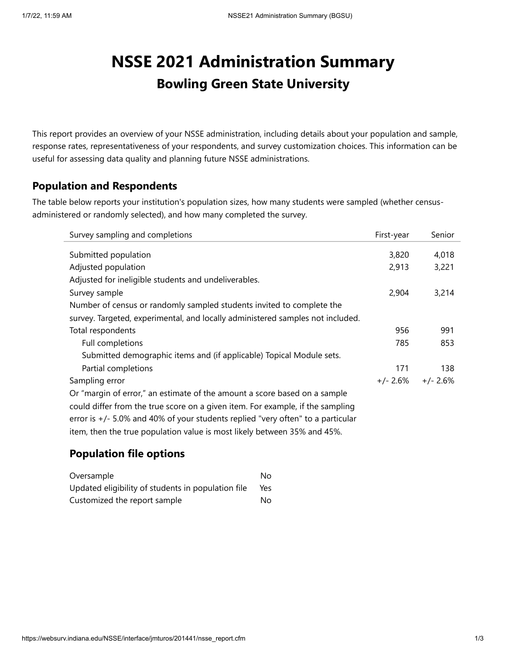# **NSSE 2021 Administration Summary Bowling Green State University**

This report provides an overview of your NSSE administration, including details about your population and sample, response rates, representativeness of your respondents, and survey customization choices. This information can be useful for assessing data quality and planning future NSSE administrations.

#### **Population and Respondents**

The table below reports your institution's population sizes, how many students were sampled (whether censusadministered or randomly selected), and how many completed the survey.

| Survey sampling and completions                                                   | First-year | Senior     |
|-----------------------------------------------------------------------------------|------------|------------|
|                                                                                   |            |            |
| Submitted population                                                              | 3,820      | 4,018      |
| Adjusted population                                                               | 2,913      | 3,221      |
| Adjusted for ineligible students and undeliverables.                              |            |            |
| Survey sample                                                                     | 2,904      | 3,214      |
| Number of census or randomly sampled students invited to complete the             |            |            |
| survey. Targeted, experimental, and locally administered samples not included.    |            |            |
| Total respondents                                                                 | 956        | 991        |
| Full completions                                                                  | 785        | 853        |
| Submitted demographic items and (if applicable) Topical Module sets.              |            |            |
| Partial completions                                                               | 171        | 138        |
| Sampling error                                                                    | +/- 2.6%   | $+/- 2.6%$ |
| Or "margin of error," an estimate of the amount a score based on a sample         |            |            |
| could differ from the true score on a given item. For example, if the sampling    |            |            |
| error is $+/-$ 5.0% and 40% of your students replied "very often" to a particular |            |            |
| item, then the true population value is most likely between 35% and 45%.          |            |            |

#### **Population file options**

| Oversample                                         | N٥  |
|----------------------------------------------------|-----|
| Updated eligibility of students in population file | Yes |
| Customized the report sample                       | N٥  |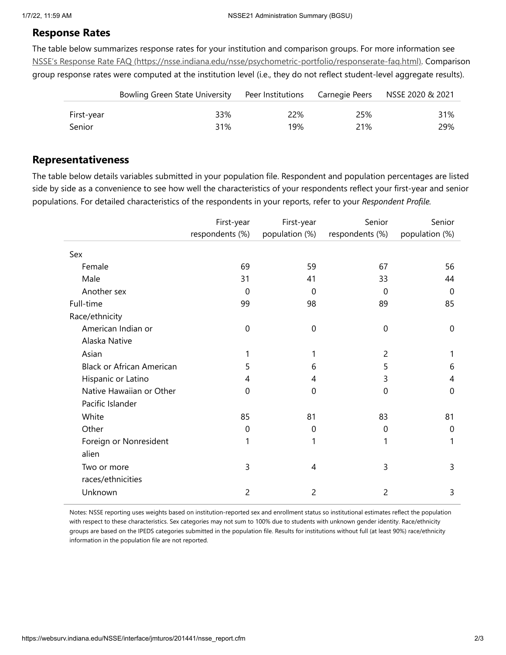#### **Response Rates**

The table below summarizes response rates for your institution and comparison groups. For more information see NSSE's Response Rate FAQ [\(https://nsse.indiana.edu/nsse/psychometric-portfolio/responserate-faq.html\).](https://nsse.indiana.edu/nsse/psychometric-portfolio/responserate-faq.html) Comparison group response rates were computed at the institution level (i.e., they do not reflect student-level aggregate results).

|            | Bowling Green State University |     |     | Peer Institutions Carnegie Peers NSSE 2020 & 2021 |
|------------|--------------------------------|-----|-----|---------------------------------------------------|
| First-year | 33%                            | 22% | 25% | 31%                                               |
| Senior     | 31%                            | 19% | 21% | 29%                                               |

#### **Representativeness**

The table below details variables submitted in your population file. Respondent and population percentages are listed side by side as a convenience to see how well the characteristics of your respondents reflect your first-year and senior populations. For detailed characteristics of the respondents in your reports, refer to your *Respondent Profile.*

|                                  | First-year      | First-year     | Senior          | Senior         |
|----------------------------------|-----------------|----------------|-----------------|----------------|
|                                  | respondents (%) | population (%) | respondents (%) | population (%) |
| Sex                              |                 |                |                 |                |
| Female                           | 69              | 59             | 67              | 56             |
|                                  |                 |                |                 |                |
| Male                             | 31              | 41             | 33              | 44             |
| Another sex                      | $\Omega$        | 0              | $\Omega$        | $\Omega$       |
| Full-time                        | 99              | 98             | 89              | 85             |
| Race/ethnicity                   |                 |                |                 |                |
| American Indian or               | $\mathbf 0$     | 0              | 0               | 0              |
| Alaska Native                    |                 |                |                 |                |
| Asian                            | 1               |                | $\overline{2}$  |                |
| <b>Black or African American</b> | 5               | 6              | 5               | 6              |
| Hispanic or Latino               | 4               | 4              | 3               | 4              |
| Native Hawaiian or Other         | $\mathbf 0$     | $\mathbf{0}$   | $\mathbf 0$     | $\Omega$       |
| Pacific Islander                 |                 |                |                 |                |
| White                            | 85              | 81             | 83              | 81             |
| Other                            | $\mathbf 0$     | 0              | $\mathbf 0$     | $\mathbf 0$    |
| Foreign or Nonresident           | 1               |                | 1               |                |
| alien                            |                 |                |                 |                |
| Two or more                      | 3               | 4              | 3               | 3              |
| races/ethnicities                |                 |                |                 |                |
| Unknown                          | 2               | 2              | 2               | 3              |

Notes: NSSE reporting uses weights based on institution-reported sex and enrollment status so institutional estimates reflect the population with respect to these characteristics. Sex categories may not sum to 100% due to students with unknown gender identity. Race/ethnicity groups are based on the IPEDS categories submitted in the population file. Results for institutions without full (at least 90%) race/ethnicity information in the population file are not reported.